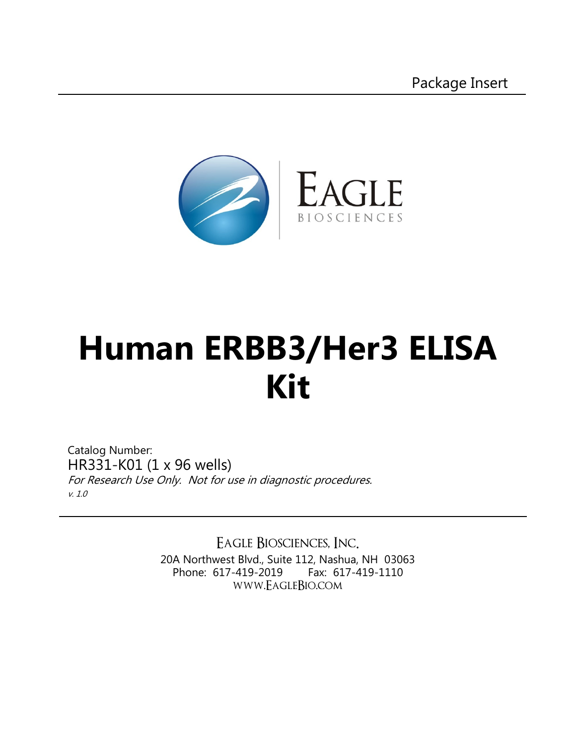

# **Human ERBB3/Her3 ELISA Kit**

Catalog Number: HR331-K01 (1 x 96 wells) For Research Use Only. Not for use in diagnostic procedures. v. 1.0

> Eagle Biosciences, Inc. 20A Northwest Blvd., Suite 112, Nashua, NH 03063 Phone: 617-419-2019 Fax: 617-419-1110 www.EagleBio.com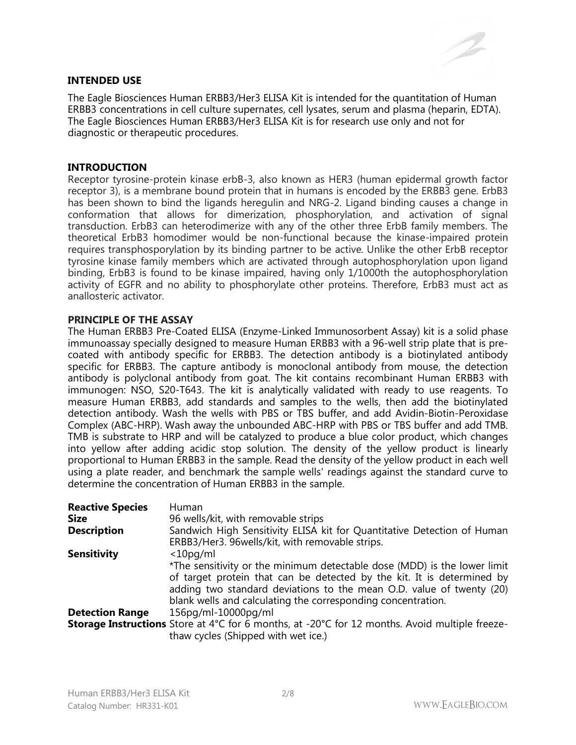#### **INTENDED USE**



The Eagle Biosciences Human ERBB3/Her3 ELISA Kit is intended for the quantitation of Human ERBB3 concentrations in cell culture supernates, cell lysates, serum and plasma (heparin, EDTA). The Eagle Biosciences Human ERBB3/Her3 ELISA Kit is for research use only and not for diagnostic or therapeutic procedures.

#### **INTRODUCTION**

Receptor tyrosine-protein kinase erbB-3, also known as HER3 (human epidermal growth factor receptor 3), is a membrane bound protein that in humans is encoded by the ERBB3 gene. ErbB3 has been shown to bind the ligands heregulin and NRG-2. Ligand binding causes a change in conformation that allows for dimerization, phosphorylation, and activation of signal transduction. ErbB3 can heterodimerize with any of the other three ErbB family members. The theoretical ErbB3 homodimer would be non-functional because the kinase-impaired protein requires transphosporylation by its binding partner to be active. Unlike the other ErbB receptor tyrosine kinase family members which are activated through autophosphorylation upon ligand binding, ErbB3 is found to be kinase impaired, having only 1/1000th the autophosphorylation activity of EGFR and no ability to phosphorylate other proteins. Therefore, ErbB3 must act as anallosteric activator.

#### **PRINCIPLE OF THE ASSAY**

The Human ERBB3 Pre-Coated ELISA (Enzyme-Linked Immunosorbent Assay) kit is a solid phase immunoassay specially designed to measure Human ERBB3 with a 96-well strip plate that is precoated with antibody specific for ERBB3. The detection antibody is a biotinylated antibody specific for ERBB3. The capture antibody is monoclonal antibody from mouse, the detection antibody is polyclonal antibody from goat. The kit contains recombinant Human ERBB3 with immunogen: NSO, S20-T643. The kit is analytically validated with ready to use reagents. To measure Human ERBB3, add standards and samples to the wells, then add the biotinylated detection antibody. Wash the wells with PBS or TBS buffer, and add Avidin-Biotin-Peroxidase Complex (ABC-HRP). Wash away the unbounded ABC-HRP with PBS or TBS buffer and add TMB. TMB is substrate to HRP and will be catalyzed to produce a blue color product, which changes into yellow after adding acidic stop solution. The density of the yellow product is linearly proportional to Human ERBB3 in the sample. Read the density of the yellow product in each well using a plate reader, and benchmark the sample wells' readings against the standard curve to determine the concentration of Human ERBB3 in the sample.

| <b>Reactive Species</b> | Human                                                                                          |
|-------------------------|------------------------------------------------------------------------------------------------|
| <b>Size</b>             | 96 wells/kit, with removable strips                                                            |
| <b>Description</b>      | Sandwich High Sensitivity ELISA kit for Quantitative Detection of Human                        |
|                         | ERBB3/Her3. 96 wells/kit, with removable strips.                                               |
| <b>Sensitivity</b>      | $<$ 10pg/ml                                                                                    |
|                         | *The sensitivity or the minimum detectable dose (MDD) is the lower limit                       |
|                         | of target protein that can be detected by the kit. It is determined by                         |
|                         | adding two standard deviations to the mean O.D. value of twenty (20)                           |
|                         | blank wells and calculating the corresponding concentration.                                   |
| <b>Detection Range</b>  | 156pg/ml-10000pg/ml                                                                            |
|                         | Storage Instructions Store at 4°C for 6 months, at -20°C for 12 months. Avoid multiple freeze- |
|                         | thaw cycles (Shipped with wet ice.)                                                            |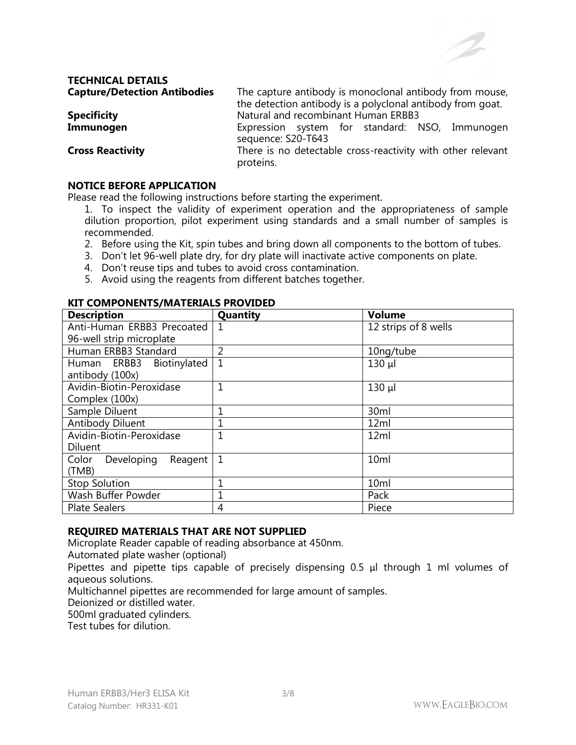

#### **TECHNICAL DETAILS Capture/Detection Antibodies** The capture antibody is monoclonal antibody from mouse,

|                         | the detection antibody is a polyclonal antibody from goat.  |
|-------------------------|-------------------------------------------------------------|
| <b>Specificity</b>      | Natural and recombinant Human ERBB3                         |
| Immunogen               | Expression system for standard: NSO, Immunogen              |
|                         | sequence: S20-T643                                          |
| <b>Cross Reactivity</b> | There is no detectable cross-reactivity with other relevant |

proteins.

#### **NOTICE BEFORE APPLICATION**

Please read the following instructions before starting the experiment.

- 1. To inspect the validity of experiment operation and the appropriateness of sample dilution proportion, pilot experiment using standards and a small number of samples is recommended.
- 2. Before using the Kit, spin tubes and bring down all components to the bottom of tubes.
- 3. Don't let 96-well plate dry, for dry plate will inactivate active components on plate.
- 4. Don't reuse tips and tubes to avoid cross contamination.
- 5. Avoid using the reagents from different batches together.

| NI LUMPUNEN IS/MATENIALS FRUVIDED |                |                      |  |  |
|-----------------------------------|----------------|----------------------|--|--|
| <b>Description</b>                | Quantity       | <b>Volume</b>        |  |  |
| Anti-Human ERBB3 Precoated        |                | 12 strips of 8 wells |  |  |
| 96-well strip microplate          |                |                      |  |  |
| Human ERBB3 Standard              | 2              | 10ng/tube            |  |  |
| Human ERBB3 Biotinylated          | $\mathbf{1}$   | $130 \mu$            |  |  |
| antibody (100x)                   |                |                      |  |  |
| Avidin-Biotin-Peroxidase          | $\overline{1}$ | $130 \mu$            |  |  |
| Complex (100x)                    |                |                      |  |  |
| Sample Diluent                    |                | 30 <sub>ml</sub>     |  |  |
| <b>Antibody Diluent</b>           |                | 12ml                 |  |  |
| Avidin-Biotin-Peroxidase          | 1              | 12ml                 |  |  |
| <b>Diluent</b>                    |                |                      |  |  |
| Developing<br>Reagent<br>Color    | $\mathbf{1}$   | 10 <sub>ml</sub>     |  |  |
| (TMB)                             |                |                      |  |  |
| <b>Stop Solution</b>              |                | 10 <sub>ml</sub>     |  |  |
| Wash Buffer Powder                |                | Pack                 |  |  |
| <b>Plate Sealers</b>              | 4              | Piece                |  |  |

#### **KIT COMPONENTS/MATERIALS PROVIDED**

#### **REQUIRED MATERIALS THAT ARE NOT SUPPLIED**

Microplate Reader capable of reading absorbance at 450nm.

Automated plate washer (optional)

Pipettes and pipette tips capable of precisely dispensing 0.5 μl through 1 ml volumes of aqueous solutions.

Multichannel pipettes are recommended for large amount of samples.

Deionized or distilled water.

500ml graduated cylinders.

Test tubes for dilution.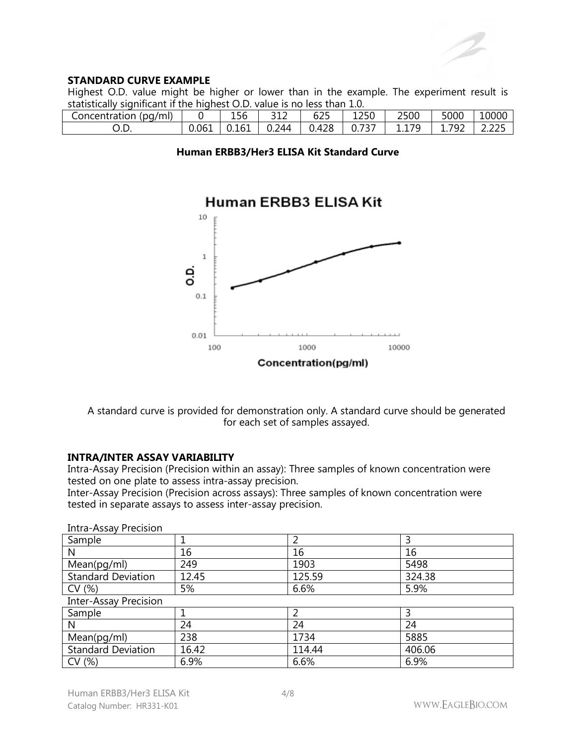#### **STANDARD CURVE EXAMPLE**

Highest O.D. value might be higher or lower than in the example. The experiment result is statistically significant if the highest O.D. value is no less than 1.0.

| $\cdots$<br>(pq/ml)<br>Concentration |       | $\sim$<br>۰<br>156 | <b>212</b><br>--- | $\sim$ $\sim$ $\sim$<br>ל∠ס | $  -$<br>ּ∟י<br>ᆂᆇᢣ | 2500               | 5000                      | 10000                                 |
|--------------------------------------|-------|--------------------|-------------------|-----------------------------|---------------------|--------------------|---------------------------|---------------------------------------|
| -<br>◡.◡                             | 0.061 | - -<br>ບ.⊥ບ⊥       | 744<br>◡.∠        | 170<br>ີ່ 4∠ບ<br>ັ          | $-1$<br>C<br>◡.,    | 70<br>. <i>. .</i> | 792<br>--<br>. . <i>.</i> | $\sim$ $\sim$ $\sim$<br>∽<br>_ ._ _ _ |

|  | Human ERBB3/Her3 ELISA Kit Standard Curve |  |  |  |
|--|-------------------------------------------|--|--|--|
|--|-------------------------------------------|--|--|--|



A standard curve is provided for demonstration only. A standard curve should be generated for each set of samples assayed.

## **INTRA/INTER ASSAY VARIABILITY**

Intra-Assay Precision (Precision within an assay): Three samples of known concentration were tested on one plate to assess intra-assay precision.

Inter-Assay Precision (Precision across assays): Three samples of known concentration were tested in separate assays to assess inter-assay precision.

| Sample                       |       |        |        |  |  |
|------------------------------|-------|--------|--------|--|--|
| N                            | 16    | 16     | 16     |  |  |
| Mean(pg/ml)                  | 249   | 1903   | 5498   |  |  |
| <b>Standard Deviation</b>    | 12.45 | 125.59 | 324.38 |  |  |
| CV(%)                        | 5%    | 6.6%   | 5.9%   |  |  |
| <b>Inter-Assay Precision</b> |       |        |        |  |  |
| Sample                       |       |        |        |  |  |
| N                            | 24    | 24     | 24     |  |  |
| Mean(pg/ml)                  | 238   | 1734   | 5885   |  |  |
| <b>Standard Deviation</b>    | 16.42 | 114.44 | 406.06 |  |  |
| CV(%)                        | 6.9%  | 6.6%   | 6.9%   |  |  |

Intra-Assay Precision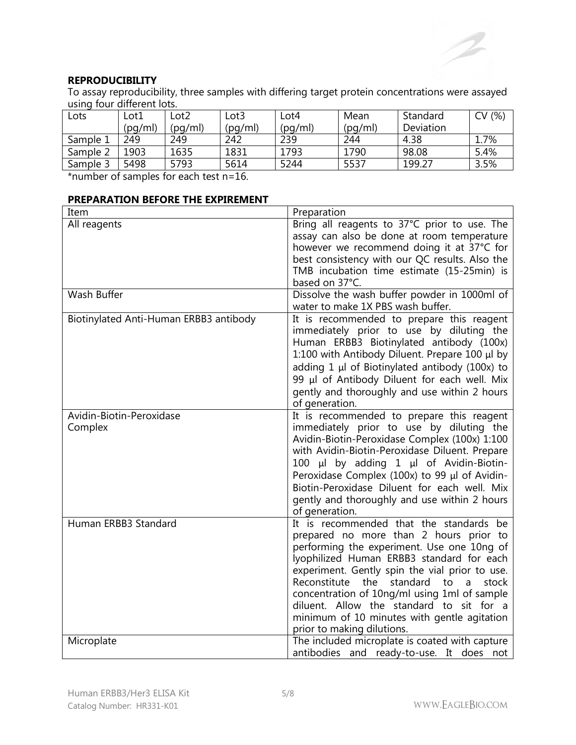## **REPRODUCIBILITY**

To assay reproducibility, three samples with differing target protein concentrations were assayed using four different lots.

| Lots     | Lot1    | _ot2    | ∟ot3    | -ot4    | Mean    | Standard  | (% )<br>$\sim$ |
|----------|---------|---------|---------|---------|---------|-----------|----------------|
|          | (pq/ml) | (pg/ml) | (pq/ml) | (pq/ml) | (pg/ml) | Deviation |                |
| Sample 1 | 249     | 249     | 242     | 239     | 244     | 4.38      | 7%،            |
| Sample 2 | 1903    | 1635    | 1831    | 1793    | 1790    | 98.08     | 5.4%           |
| Sample 3 | 5498    | 5793    | 5614    | 5244    | 5537    | 199.27    | 3.5%           |

\*number of samples for each test n=16.

## **PREPARATION BEFORE THE EXPIREMENT**

| Item                                   | Preparation                                                                                                                                                                                                                                                                                                                                                                                                                                                    |
|----------------------------------------|----------------------------------------------------------------------------------------------------------------------------------------------------------------------------------------------------------------------------------------------------------------------------------------------------------------------------------------------------------------------------------------------------------------------------------------------------------------|
| All reagents                           | Bring all reagents to 37°C prior to use. The<br>assay can also be done at room temperature<br>however we recommend doing it at 37°C for<br>best consistency with our QC results. Also the<br>TMB incubation time estimate (15-25min) is<br>based on 37°C.                                                                                                                                                                                                      |
| Wash Buffer                            | Dissolve the wash buffer powder in 1000ml of<br>water to make 1X PBS wash buffer.                                                                                                                                                                                                                                                                                                                                                                              |
| Biotinylated Anti-Human ERBB3 antibody | It is recommended to prepare this reagent<br>immediately prior to use by diluting the<br>Human ERBB3 Biotinylated antibody (100x)<br>1:100 with Antibody Diluent. Prepare 100 µl by<br>adding $1 \mu$ of Biotinylated antibody (100x) to<br>99 µl of Antibody Diluent for each well. Mix<br>gently and thoroughly and use within 2 hours<br>of generation.                                                                                                     |
| Avidin-Biotin-Peroxidase<br>Complex    | It is recommended to prepare this reagent<br>immediately prior to use by diluting the<br>Avidin-Biotin-Peroxidase Complex (100x) 1:100<br>with Avidin-Biotin-Peroxidase Diluent. Prepare<br>100 µl by adding 1 µl of Avidin-Biotin-<br>Peroxidase Complex (100x) to 99 µl of Avidin-<br>Biotin-Peroxidase Diluent for each well. Mix<br>gently and thoroughly and use within 2 hours<br>of generation.                                                         |
| Human ERBB3 Standard                   | It is recommended that the standards be<br>prepared no more than 2 hours prior to<br>performing the experiment. Use one 10ng of<br>lyophilized Human ERBB3 standard for each<br>experiment. Gently spin the vial prior to use.<br>Reconstitute<br>the<br>standard<br>stock<br>to<br>a<br>concentration of 10ng/ml using 1ml of sample<br>diluent. Allow the standard to sit for a<br>minimum of 10 minutes with gentle agitation<br>prior to making dilutions. |
| Microplate                             | The included microplate is coated with capture<br>antibodies and ready-to-use. It does not                                                                                                                                                                                                                                                                                                                                                                     |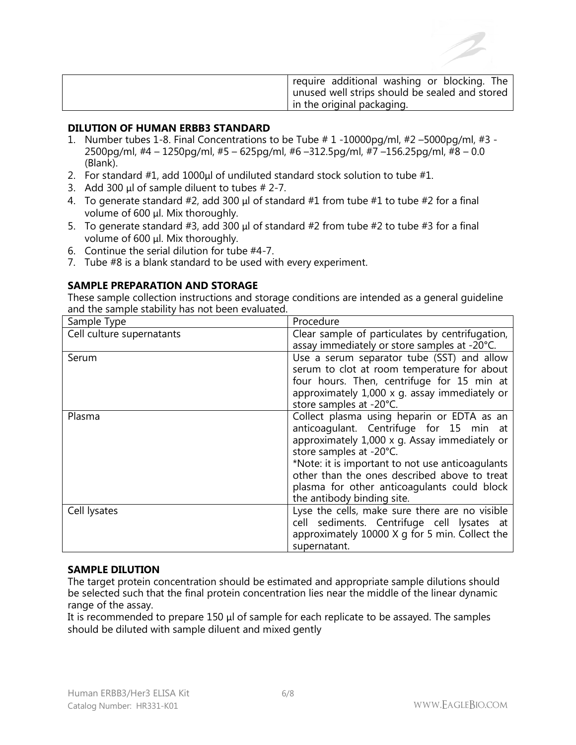| require additional washing or blocking. The      |
|--------------------------------------------------|
| I unused well strips should be sealed and stored |
| in the original packaging.                       |

#### **DILUTION OF HUMAN ERBB3 STANDARD**

- 1. Number tubes 1-8. Final Concentrations to be Tube # 1 -10000pg/ml, #2 –5000pg/ml, #3 2500pg/ml, #4 – 1250pg/ml, #5 – 625pg/ml, #6 –312.5pg/ml, #7 –156.25pg/ml, #8 – 0.0 (Blank).
- 2. For standard #1, add 1000μl of undiluted standard stock solution to tube #1.
- 3. Add 300  $\mu$ l of sample diluent to tubes # 2-7.
- 4. To generate standard #2, add 300 μl of standard #1 from tube #1 to tube #2 for a final volume of 600 μl. Mix thoroughly.
- 5. To generate standard #3, add 300 μl of standard #2 from tube #2 to tube #3 for a final volume of 600 μl. Mix thoroughly.
- 6. Continue the serial dilution for tube #4-7.
- 7. Tube #8 is a blank standard to be used with every experiment.

#### **SAMPLE PREPARATION AND STORAGE**

These sample collection instructions and storage conditions are intended as a general guideline and the sample stability has not been evaluated.

| Sample Type               | Procedure                                        |
|---------------------------|--------------------------------------------------|
| Cell culture supernatants | Clear sample of particulates by centrifugation,  |
|                           | assay immediately or store samples at -20°C.     |
| Serum                     | Use a serum separator tube (SST) and allow       |
|                           | serum to clot at room temperature for about      |
|                           | four hours. Then, centrifuge for 15 min at       |
|                           | approximately 1,000 x g. assay immediately or    |
|                           | store samples at -20°C.                          |
| Plasma                    | Collect plasma using heparin or EDTA as an       |
|                           | anticoagulant. Centrifuge for 15 min at          |
|                           | approximately 1,000 x g. Assay immediately or    |
|                           | store samples at -20°C.                          |
|                           | *Note: it is important to not use anticoagulants |
|                           | other than the ones described above to treat     |
|                           | plasma for other anticoagulants could block      |
|                           | the antibody binding site.                       |
| Cell lysates              | Lyse the cells, make sure there are no visible   |
|                           | cell sediments. Centrifuge cell lysates at       |
|                           | approximately 10000 X g for 5 min. Collect the   |
|                           | supernatant.                                     |

#### **SAMPLE DILUTION**

The target protein concentration should be estimated and appropriate sample dilutions should be selected such that the final protein concentration lies near the middle of the linear dynamic range of the assay.

It is recommended to prepare 150 μl of sample for each replicate to be assayed. The samples should be diluted with sample diluent and mixed gently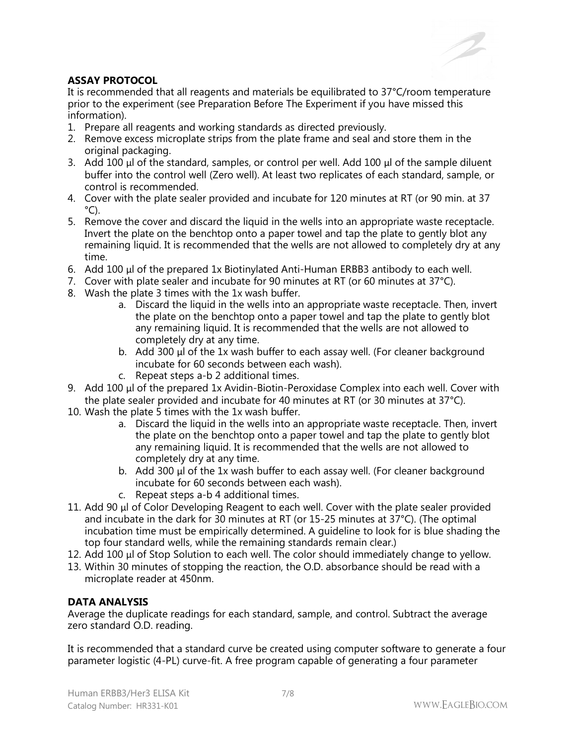

# **ASSAY PROTOCOL**

It is recommended that all reagents and materials be equilibrated to 37°C/room temperature prior to the experiment (see Preparation Before The Experiment if you have missed this information).

- 1. Prepare all reagents and working standards as directed previously.
- 2. Remove excess microplate strips from the plate frame and seal and store them in the original packaging.
- 3. Add 100 μl of the standard, samples, or control per well. Add 100 μl of the sample diluent buffer into the control well (Zero well). At least two replicates of each standard, sample, or control is recommended.
- 4. Cover with the plate sealer provided and incubate for 120 minutes at RT (or 90 min. at 37  $^{\circ}$ C).
- 5. Remove the cover and discard the liquid in the wells into an appropriate waste receptacle. Invert the plate on the benchtop onto a paper towel and tap the plate to gently blot any remaining liquid. It is recommended that the wells are not allowed to completely dry at any time.
- 6. Add 100 μl of the prepared 1x Biotinylated Anti-Human ERBB3 antibody to each well.
- 7. Cover with plate sealer and incubate for 90 minutes at RT (or 60 minutes at 37°C).
- 8. Wash the plate 3 times with the 1x wash buffer.
	- a. Discard the liquid in the wells into an appropriate waste receptacle. Then, invert the plate on the benchtop onto a paper towel and tap the plate to gently blot any remaining liquid. It is recommended that the wells are not allowed to completely dry at any time.
	- b. Add 300 μl of the 1x wash buffer to each assay well. (For cleaner background incubate for 60 seconds between each wash).
	- c. Repeat steps a-b 2 additional times.
- 9. Add 100 μl of the prepared 1x Avidin-Biotin-Peroxidase Complex into each well. Cover with the plate sealer provided and incubate for 40 minutes at RT (or 30 minutes at 37°C).
- 10. Wash the plate 5 times with the 1x wash buffer.
	- a. Discard the liquid in the wells into an appropriate waste receptacle. Then, invert the plate on the benchtop onto a paper towel and tap the plate to gently blot any remaining liquid. It is recommended that the wells are not allowed to completely dry at any time.
	- b. Add 300 μl of the 1x wash buffer to each assay well. (For cleaner background incubate for 60 seconds between each wash).
	- c. Repeat steps a-b 4 additional times.
- 11. Add 90 μl of Color Developing Reagent to each well. Cover with the plate sealer provided and incubate in the dark for 30 minutes at RT (or 15-25 minutes at 37°C). (The optimal incubation time must be empirically determined. A guideline to look for is blue shading the top four standard wells, while the remaining standards remain clear.)
- 12. Add 100 μl of Stop Solution to each well. The color should immediately change to yellow.
- 13. Within 30 minutes of stopping the reaction, the O.D. absorbance should be read with a microplate reader at 450nm.

# **DATA ANALYSIS**

Average the duplicate readings for each standard, sample, and control. Subtract the average zero standard O.D. reading.

It is recommended that a standard curve be created using computer software to generate a four parameter logistic (4-PL) curve-fit. A free program capable of generating a four parameter